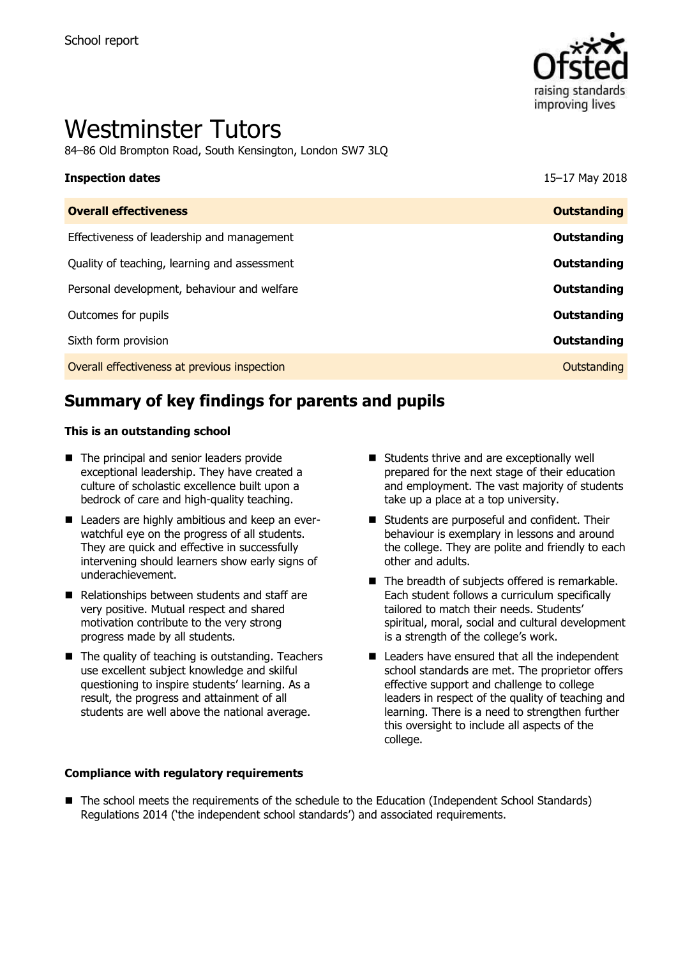

# Westminster Tutors

84–86 Old Brompton Road, South Kensington, London SW7 3LQ

| <b>Inspection dates</b>                      | 15-17 May 2018     |
|----------------------------------------------|--------------------|
| <b>Overall effectiveness</b>                 | <b>Outstanding</b> |
| Effectiveness of leadership and management   | Outstanding        |
| Quality of teaching, learning and assessment | Outstanding        |
| Personal development, behaviour and welfare  | Outstanding        |
| Outcomes for pupils                          | Outstanding        |
| Sixth form provision                         | Outstanding        |
| Overall effectiveness at previous inspection | Outstanding        |

# **Summary of key findings for parents and pupils**

#### **This is an outstanding school**

- The principal and senior leaders provide exceptional leadership. They have created a culture of scholastic excellence built upon a bedrock of care and high-quality teaching.
- Leaders are highly ambitious and keep an everwatchful eye on the progress of all students. They are quick and effective in successfully intervening should learners show early signs of underachievement.
- Relationships between students and staff are very positive. Mutual respect and shared motivation contribute to the very strong progress made by all students.
- $\blacksquare$  The quality of teaching is outstanding. Teachers use excellent subject knowledge and skilful questioning to inspire students' learning. As a result, the progress and attainment of all students are well above the national average.

#### **Compliance with regulatory requirements**

- Students thrive and are exceptionally well prepared for the next stage of their education and employment. The vast majority of students take up a place at a top university.
- Students are purposeful and confident. Their behaviour is exemplary in lessons and around the college. They are polite and friendly to each other and adults.
- The breadth of subjects offered is remarkable. Each student follows a curriculum specifically tailored to match their needs. Students' spiritual, moral, social and cultural development is a strength of the college's work.
- $\blacksquare$  Leaders have ensured that all the independent school standards are met. The proprietor offers effective support and challenge to college leaders in respect of the quality of teaching and learning. There is a need to strengthen further this oversight to include all aspects of the college.
- The school meets the requirements of the schedule to the Education (Independent School Standards) Regulations 2014 ('the independent school standards') and associated requirements.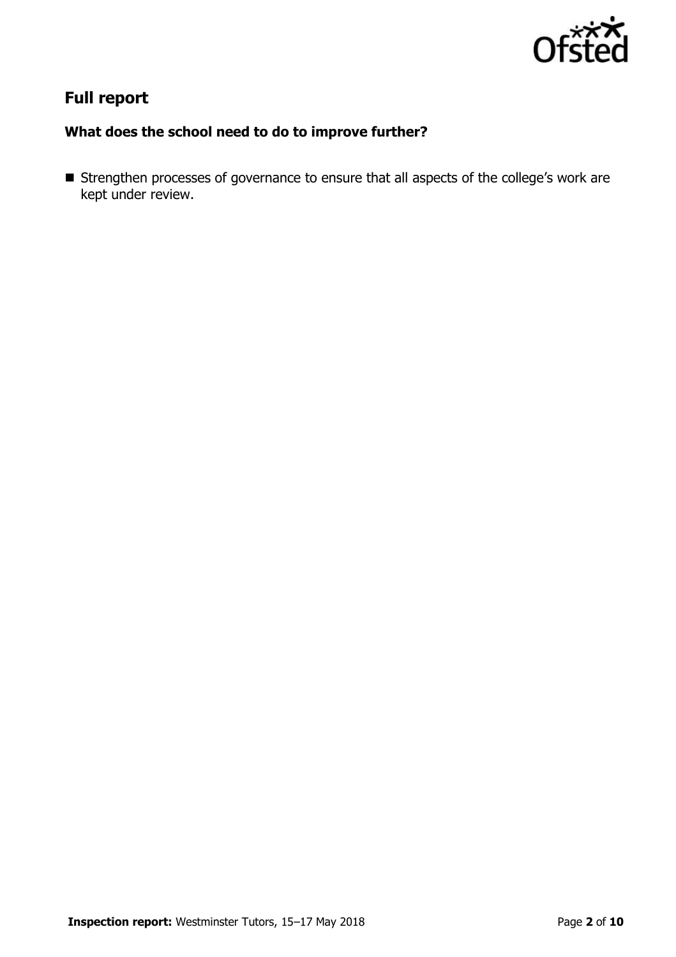

# **Full report**

## **What does the school need to do to improve further?**

**Strengthen processes of governance to ensure that all aspects of the college's work are** kept under review.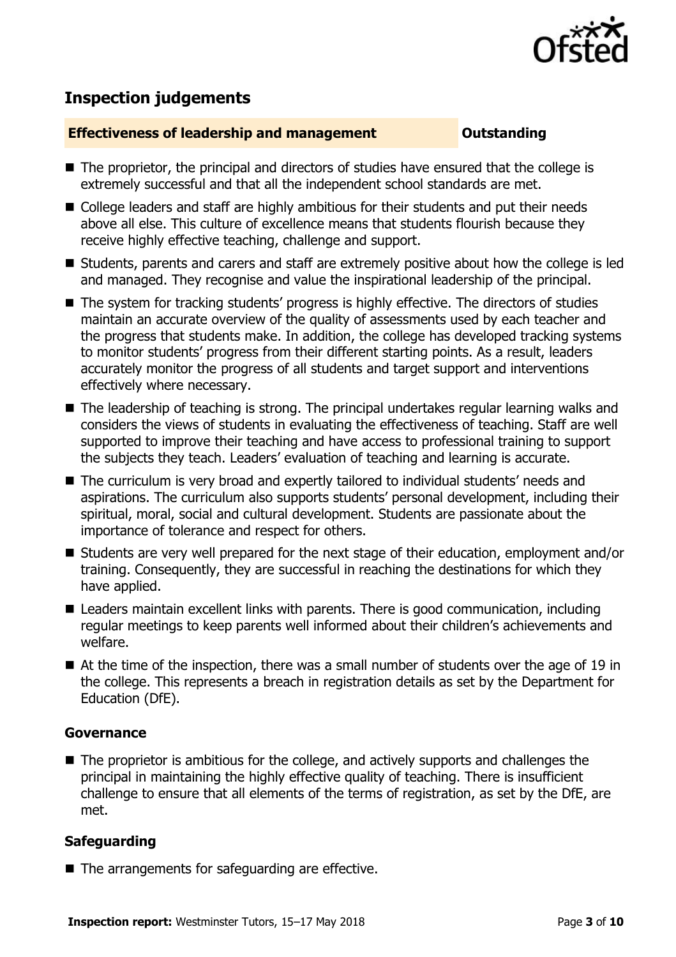

# **Inspection judgements**

#### **Effectiveness of leadership and management Constanding**

- The proprietor, the principal and directors of studies have ensured that the college is extremely successful and that all the independent school standards are met.
- College leaders and staff are highly ambitious for their students and put their needs above all else. This culture of excellence means that students flourish because they receive highly effective teaching, challenge and support.
- Students, parents and carers and staff are extremely positive about how the college is led and managed. They recognise and value the inspirational leadership of the principal.
- The system for tracking students' progress is highly effective. The directors of studies maintain an accurate overview of the quality of assessments used by each teacher and the progress that students make. In addition, the college has developed tracking systems to monitor students' progress from their different starting points. As a result, leaders accurately monitor the progress of all students and target support and interventions effectively where necessary.
- The leadership of teaching is strong. The principal undertakes regular learning walks and considers the views of students in evaluating the effectiveness of teaching. Staff are well supported to improve their teaching and have access to professional training to support the subjects they teach. Leaders' evaluation of teaching and learning is accurate.
- The curriculum is very broad and expertly tailored to individual students' needs and aspirations. The curriculum also supports students' personal development, including their spiritual, moral, social and cultural development. Students are passionate about the importance of tolerance and respect for others.
- Students are very well prepared for the next stage of their education, employment and/or training. Consequently, they are successful in reaching the destinations for which they have applied.
- Leaders maintain excellent links with parents. There is good communication, including regular meetings to keep parents well informed about their children's achievements and welfare.
- At the time of the inspection, there was a small number of students over the age of 19 in the college. This represents a breach in registration details as set by the Department for Education (DfE).

### **Governance**

■ The proprietor is ambitious for the college, and actively supports and challenges the principal in maintaining the highly effective quality of teaching. There is insufficient challenge to ensure that all elements of the terms of registration, as set by the DfE, are met.

### **Safeguarding**

■ The arrangements for safeguarding are effective.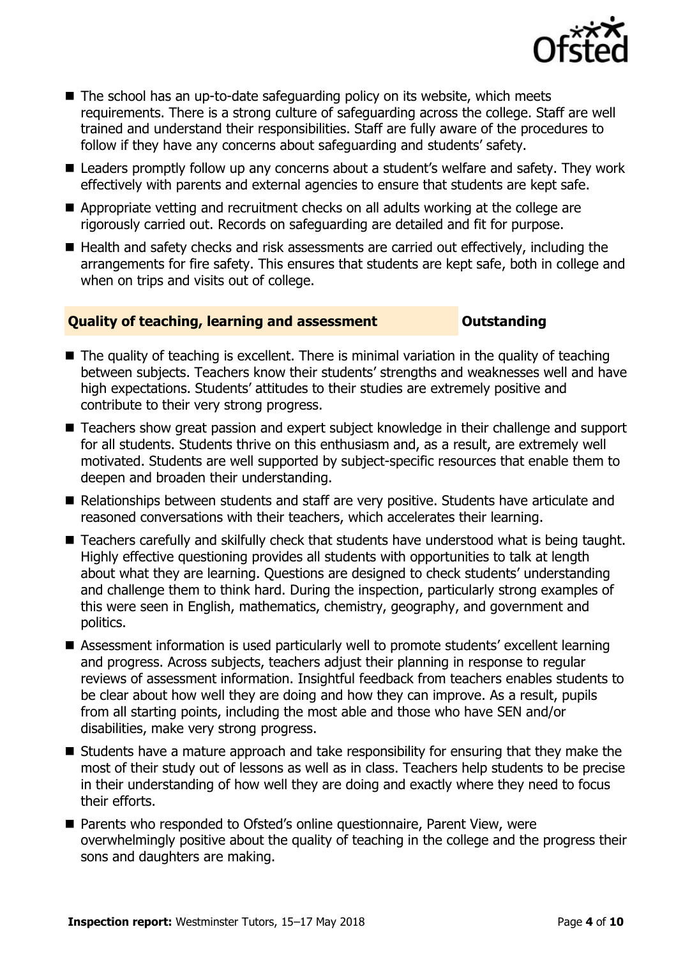

- The school has an up-to-date safeguarding policy on its website, which meets requirements. There is a strong culture of safeguarding across the college. Staff are well trained and understand their responsibilities. Staff are fully aware of the procedures to follow if they have any concerns about safeguarding and students' safety.
- Leaders promptly follow up any concerns about a student's welfare and safety. They work effectively with parents and external agencies to ensure that students are kept safe.
- Appropriate vetting and recruitment checks on all adults working at the college are rigorously carried out. Records on safeguarding are detailed and fit for purpose.
- Health and safety checks and risk assessments are carried out effectively, including the arrangements for fire safety. This ensures that students are kept safe, both in college and when on trips and visits out of college.

#### **Quality of teaching, learning and assessment Outstanding**

- $\blacksquare$  The quality of teaching is excellent. There is minimal variation in the quality of teaching between subjects. Teachers know their students' strengths and weaknesses well and have high expectations. Students' attitudes to their studies are extremely positive and contribute to their very strong progress.
- Teachers show great passion and expert subject knowledge in their challenge and support for all students. Students thrive on this enthusiasm and, as a result, are extremely well motivated. Students are well supported by subject-specific resources that enable them to deepen and broaden their understanding.
- Relationships between students and staff are very positive. Students have articulate and reasoned conversations with their teachers, which accelerates their learning.
- Teachers carefully and skilfully check that students have understood what is being taught. Highly effective questioning provides all students with opportunities to talk at length about what they are learning. Questions are designed to check students' understanding and challenge them to think hard. During the inspection, particularly strong examples of this were seen in English, mathematics, chemistry, geography, and government and politics.
- Assessment information is used particularly well to promote students' excellent learning and progress. Across subjects, teachers adjust their planning in response to regular reviews of assessment information. Insightful feedback from teachers enables students to be clear about how well they are doing and how they can improve. As a result, pupils from all starting points, including the most able and those who have SEN and/or disabilities, make very strong progress.
- Students have a mature approach and take responsibility for ensuring that they make the most of their study out of lessons as well as in class. Teachers help students to be precise in their understanding of how well they are doing and exactly where they need to focus their efforts.
- Parents who responded to Ofsted's online questionnaire, Parent View, were overwhelmingly positive about the quality of teaching in the college and the progress their sons and daughters are making.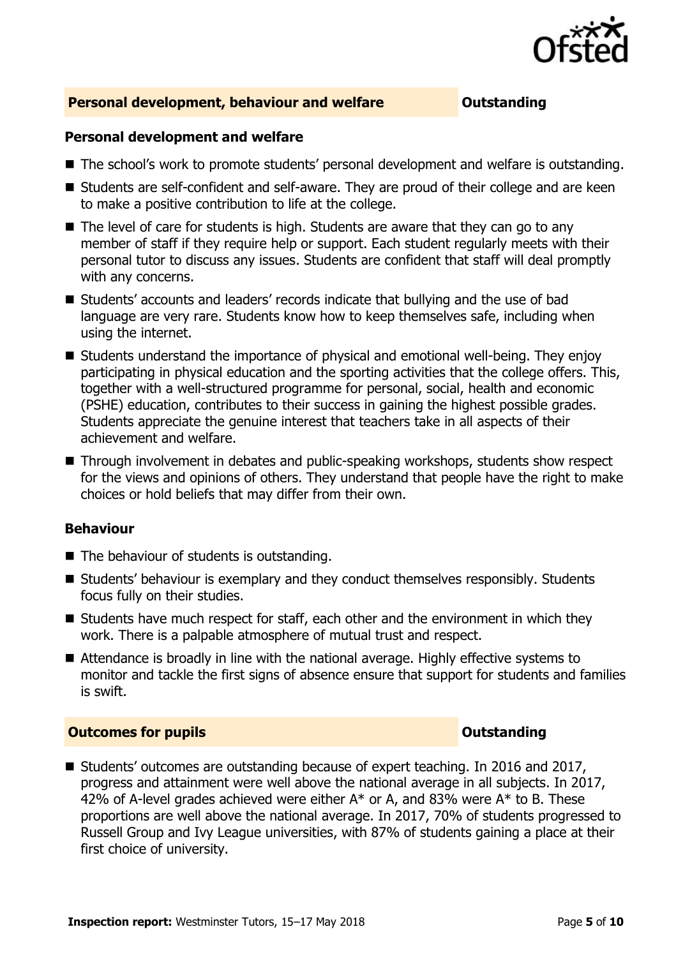

#### **Personal development, behaviour and welfare <b>COUTS** Outstanding

#### **Personal development and welfare**

- The school's work to promote students' personal development and welfare is outstanding.
- Students are self-confident and self-aware. They are proud of their college and are keen to make a positive contribution to life at the college.
- $\blacksquare$  The level of care for students is high. Students are aware that they can go to any member of staff if they require help or support. Each student regularly meets with their personal tutor to discuss any issues. Students are confident that staff will deal promptly with any concerns.
- Students' accounts and leaders' records indicate that bullying and the use of bad language are very rare. Students know how to keep themselves safe, including when using the internet.
- Students understand the importance of physical and emotional well-being. They enjoy participating in physical education and the sporting activities that the college offers. This, together with a well-structured programme for personal, social, health and economic (PSHE) education, contributes to their success in gaining the highest possible grades. Students appreciate the genuine interest that teachers take in all aspects of their achievement and welfare.
- Through involvement in debates and public-speaking workshops, students show respect for the views and opinions of others. They understand that people have the right to make choices or hold beliefs that may differ from their own.

#### **Behaviour**

- $\blacksquare$  The behaviour of students is outstanding.
- Students' behaviour is exemplary and they conduct themselves responsibly. Students focus fully on their studies.
- $\blacksquare$  Students have much respect for staff, each other and the environment in which they work. There is a palpable atmosphere of mutual trust and respect.
- Attendance is broadly in line with the national average. Highly effective systems to monitor and tackle the first signs of absence ensure that support for students and families is swift.

#### **Outcomes for pupils Outstanding**

■ Students' outcomes are outstanding because of expert teaching. In 2016 and 2017, progress and attainment were well above the national average in all subjects. In 2017, 42% of A-level grades achieved were either  $A^*$  or A, and 83% were  $A^*$  to B. These proportions are well above the national average. In 2017, 70% of students progressed to Russell Group and Ivy League universities, with 87% of students gaining a place at their first choice of university.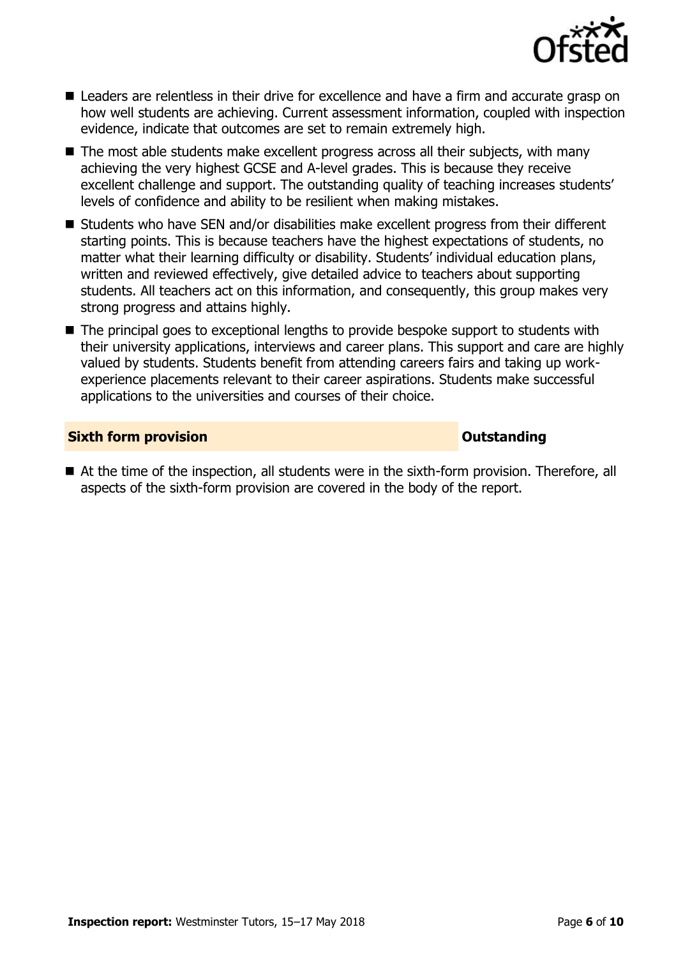

- Leaders are relentless in their drive for excellence and have a firm and accurate grasp on how well students are achieving. Current assessment information, coupled with inspection evidence, indicate that outcomes are set to remain extremely high.
- The most able students make excellent progress across all their subjects, with many achieving the very highest GCSE and A-level grades. This is because they receive excellent challenge and support. The outstanding quality of teaching increases students' levels of confidence and ability to be resilient when making mistakes.
- Students who have SEN and/or disabilities make excellent progress from their different starting points. This is because teachers have the highest expectations of students, no matter what their learning difficulty or disability. Students' individual education plans, written and reviewed effectively, give detailed advice to teachers about supporting students. All teachers act on this information, and consequently, this group makes very strong progress and attains highly.
- The principal goes to exceptional lengths to provide bespoke support to students with their university applications, interviews and career plans. This support and care are highly valued by students. Students benefit from attending careers fairs and taking up workexperience placements relevant to their career aspirations. Students make successful applications to the universities and courses of their choice.

#### **Sixth form provision CONSISTER SIXTERS AND THE SIXTER SIXTERS AND THE SIXTERS AND THE SIXTERS AND THE SIXTERS AND THE SIXTERS AND THE SIXTERS AND THE SIXTERS AND THE SIXTERS AND THE SIXTERS AND THE SIXTERS AND THE SIXTE**

■ At the time of the inspection, all students were in the sixth-form provision. Therefore, all aspects of the sixth-form provision are covered in the body of the report.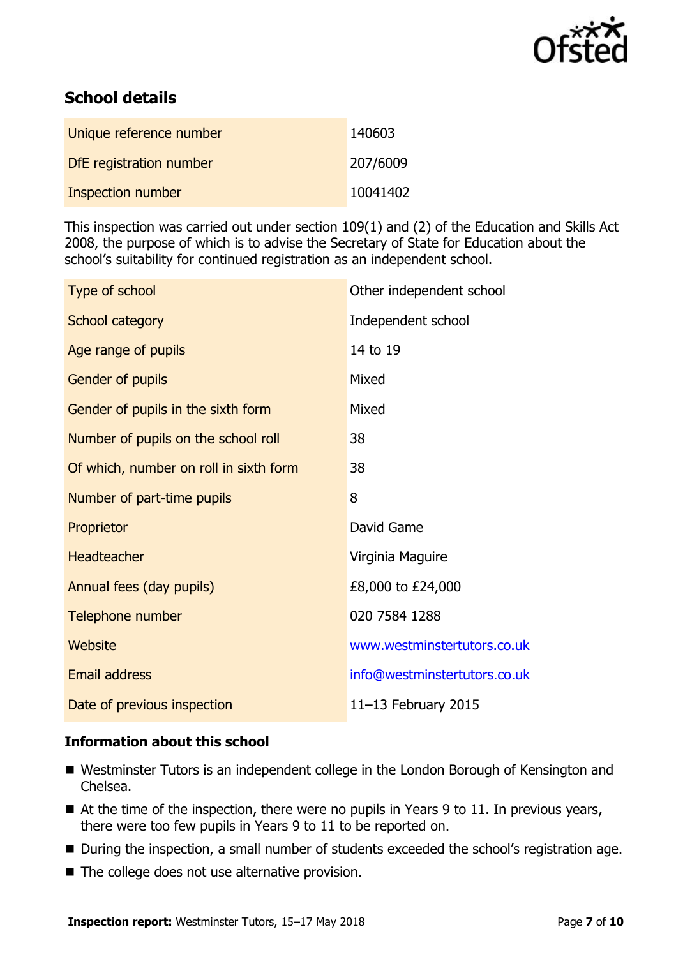

# **School details**

| Unique reference number | 140603   |
|-------------------------|----------|
| DfE registration number | 207/6009 |
| Inspection number       | 10041402 |

This inspection was carried out under section 109(1) and (2) of the Education and Skills Act 2008, the purpose of which is to advise the Secretary of State for Education about the school's suitability for continued registration as an independent school.

| Type of school                         | Other independent school     |
|----------------------------------------|------------------------------|
| School category                        | Independent school           |
| Age range of pupils                    | 14 to 19                     |
| Gender of pupils                       | Mixed                        |
| Gender of pupils in the sixth form     | Mixed                        |
| Number of pupils on the school roll    | 38                           |
| Of which, number on roll in sixth form | 38                           |
| Number of part-time pupils             | 8                            |
| Proprietor                             | David Game                   |
| <b>Headteacher</b>                     | Virginia Maguire             |
| Annual fees (day pupils)               | £8,000 to £24,000            |
| Telephone number                       | 020 7584 1288                |
| <b>Website</b>                         | www.westminstertutors.co.uk  |
| <b>Email address</b>                   | info@westminstertutors.co.uk |
| Date of previous inspection            | 11 $-13$ February 2015       |

### **Information about this school**

- Westminster Tutors is an independent college in the London Borough of Kensington and Chelsea.
- At the time of the inspection, there were no pupils in Years 9 to 11. In previous years, there were too few pupils in Years 9 to 11 to be reported on.
- During the inspection, a small number of students exceeded the school's registration age.
- The college does not use alternative provision.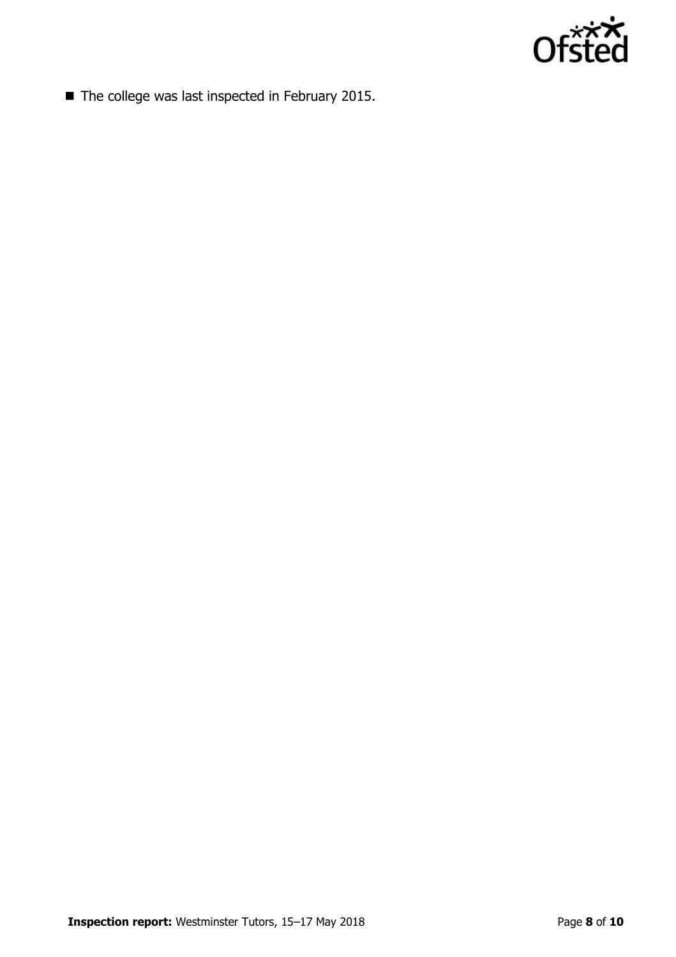

■ The college was last inspected in February 2015.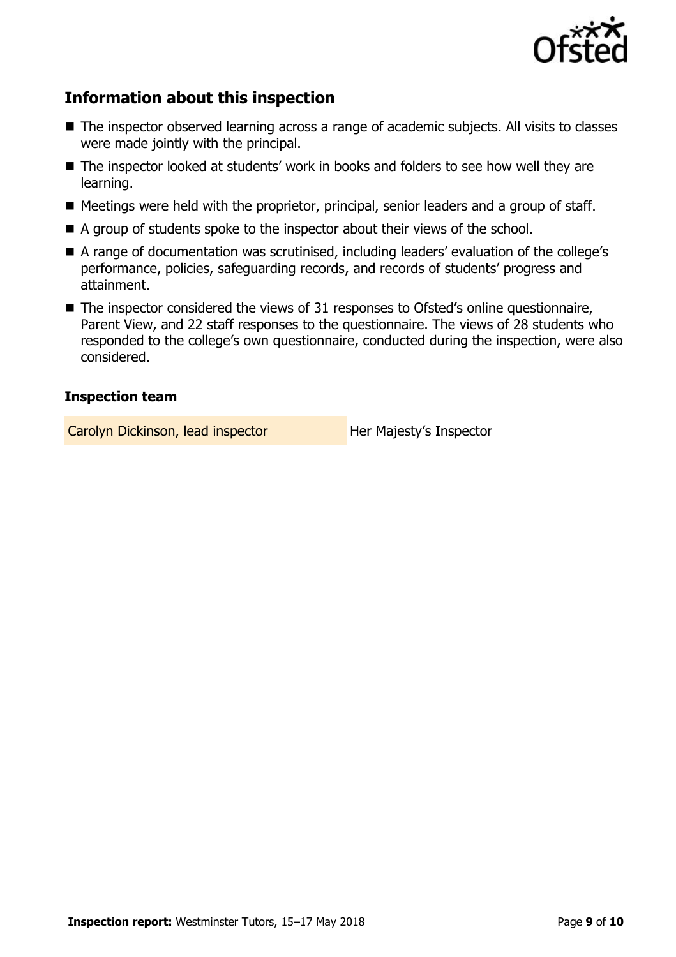

# **Information about this inspection**

- The inspector observed learning across a range of academic subjects. All visits to classes were made jointly with the principal.
- The inspector looked at students' work in books and folders to see how well they are learning.
- Meetings were held with the proprietor, principal, senior leaders and a group of staff.
- A group of students spoke to the inspector about their views of the school.
- A range of documentation was scrutinised, including leaders' evaluation of the college's performance, policies, safeguarding records, and records of students' progress and attainment.
- The inspector considered the views of 31 responses to Ofsted's online questionnaire, Parent View, and 22 staff responses to the questionnaire. The views of 28 students who responded to the college's own questionnaire, conducted during the inspection, were also considered.

### **Inspection team**

Carolyn Dickinson, lead inspector **Her Majesty's Inspector**